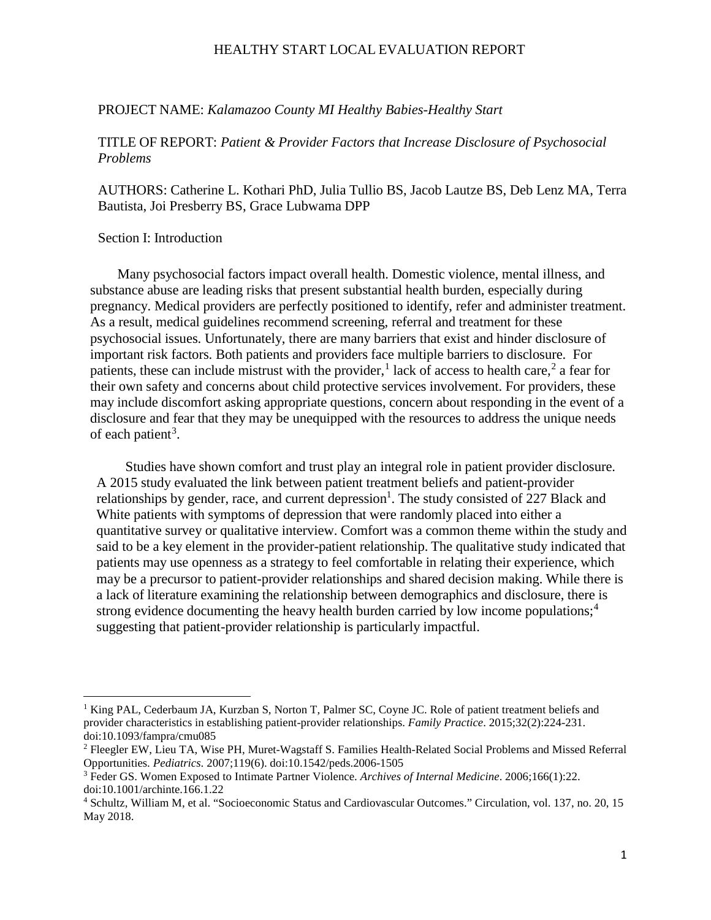#### PROJECT NAME: *Kalamazoo County MI Healthy Babies-Healthy Start*

### TITLE OF REPORT: *Patient & Provider Factors that Increase Disclosure of Psychosocial Problems*

AUTHORS: Catherine L. Kothari PhD, Julia Tullio BS, Jacob Lautze BS, Deb Lenz MA, Terra Bautista, Joi Presberry BS, Grace Lubwama DPP

### Section I: Introduction

l

Many psychosocial factors impact overall health. Domestic violence, mental illness, and substance abuse are leading risks that present substantial health burden, especially during pregnancy. Medical providers are perfectly positioned to identify, refer and administer treatment. As a result, medical guidelines recommend screening, referral and treatment for these psychosocial issues. Unfortunately, there are many barriers that exist and hinder disclosure of important risk factors. Both patients and providers face multiple barriers to disclosure. For patients, these can include mistrust with the provider,<sup>[1](#page-0-0)</sup> lack of access to health care,<sup>[2](#page-0-1)</sup> a fear for their own safety and concerns about child protective services involvement. For providers, these may include discomfort asking appropriate questions, concern about responding in the event of a disclosure and fear that they may be unequipped with the resources to address the unique needs of each patient<sup>[3](#page-0-2)</sup>.

Studies have shown comfort and trust play an integral role in patient provider disclosure. A 2015 study evaluated the link between patient treatment beliefs and patient-provider relationships by gender, race, and current depression<sup>1</sup>. The study consisted of 227 Black and White patients with symptoms of depression that were randomly placed into either a quantitative survey or qualitative interview. Comfort was a common theme within the study and said to be a key element in the provider-patient relationship. The qualitative study indicated that patients may use openness as a strategy to feel comfortable in relating their experience, which may be a precursor to patient-provider relationships and shared decision making. While there is a lack of literature examining the relationship between demographics and disclosure, there is strong evidence documenting the heavy health burden carried by low income populations;<sup>[4](#page-0-3)</sup> suggesting that patient-provider relationship is particularly impactful.

<span id="page-0-0"></span><sup>&</sup>lt;sup>1</sup> King PAL, Cederbaum JA, Kurzban S, Norton T, Palmer SC, Coyne JC. Role of patient treatment beliefs and provider characteristics in establishing patient-provider relationships. *Family Practice*. 2015;32(2):224-231. doi:10.1093/fampra/cmu085

<span id="page-0-1"></span><sup>2</sup> Fleegler EW, Lieu TA, Wise PH, Muret-Wagstaff S. Families Health-Related Social Problems and Missed Referral Opportunities. *Pediatrics*. 2007;119(6). doi:10.1542/peds.2006-1505<br><sup>3</sup> Feder GS. Women Exposed to Intimate Partner Violence. *Archives of Internal Medicine*. 2006;166(1):22.

<span id="page-0-2"></span>doi:10.1001/archinte.166.1.22

<span id="page-0-3"></span><sup>4</sup> Schultz, William M, et al. "Socioeconomic Status and Cardiovascular Outcomes." Circulation, vol. 137, no. 20, 15 May 2018.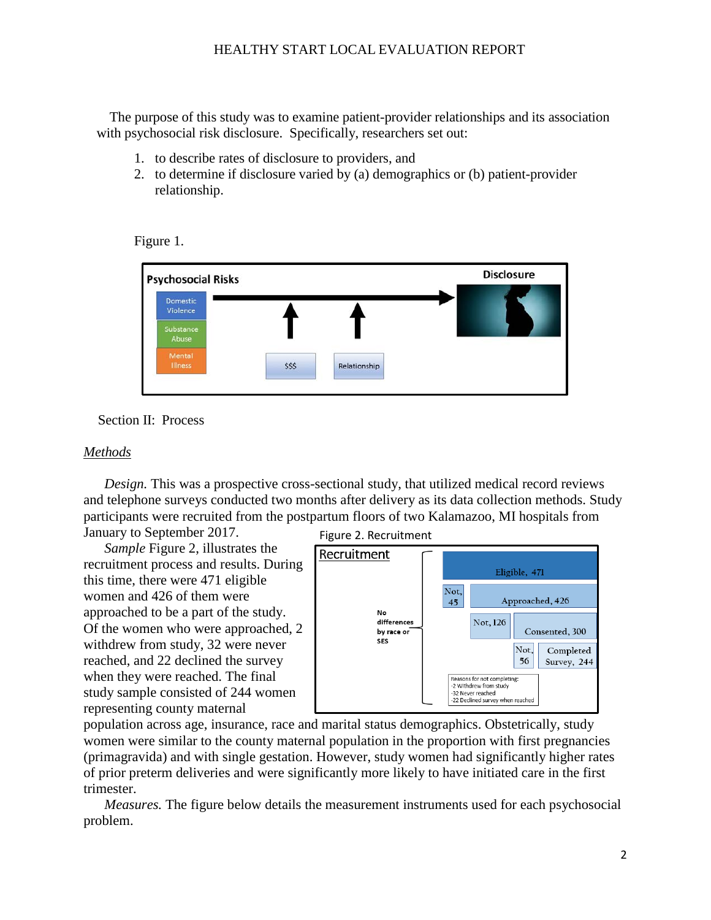The purpose of this study was to examine patient-provider relationships and its association with psychosocial risk disclosure. Specifically, researchers set out:

- 1. to describe rates of disclosure to providers, and
- 2. to determine if disclosure varied by (a) demographics or (b) patient-provider relationship.

Figure 1.



Section II: Process

### *Methods*

*Design.* This was a prospective cross-sectional study, that utilized medical record reviews and telephone surveys conducted two months after delivery as its data collection methods. Study participants were recruited from the postpartum floors of two Kalamazoo, MI hospitals from January to September 2017.

*Sample* Figure 2, illustrates the recruitment process and results. During this time, there were 471 eligible women and 426 of them were approached to be a part of the study. Of the women who were approached, 2 withdrew from study, 32 were never reached, and 22 declined the survey when they were reached. The final study sample consisted of 244 women representing county maternal

Figure 2. Recruitment



population across age, insurance, race and marital status demographics. Obstetrically, study women were similar to the county maternal population in the proportion with first pregnancies (primagravida) and with single gestation. However, study women had significantly higher rates of prior preterm deliveries and were significantly more likely to have initiated care in the first trimester.

*Measures.* The figure below details the measurement instruments used for each psychosocial problem.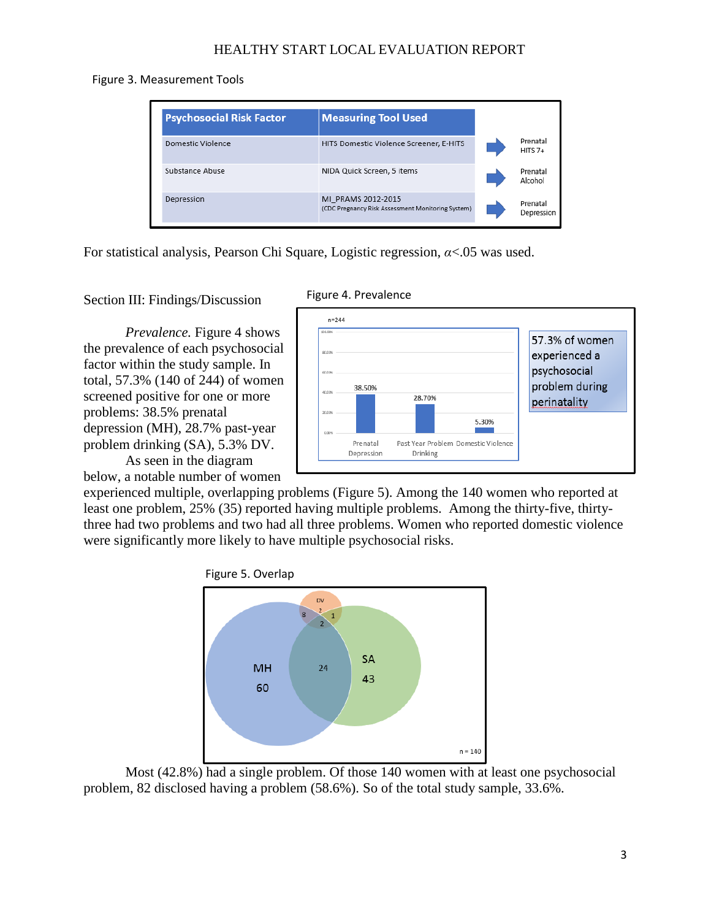Figure 3. Measurement Tools

| <b>Psychosocial Risk Factor</b> | <b>Measuring Tool Used</b>                                              |                        |
|---------------------------------|-------------------------------------------------------------------------|------------------------|
| Domestic Violence               | HITS Domestic Violence Screener, E-HITS                                 | Prenatal<br>$HITS 7+$  |
| Substance Abuse                 | NIDA Quick Screen, 5 items                                              | Prenatal<br>Alcohol    |
| Depression                      | MI PRAMS 2012-2015<br>(CDC Pregnancy Risk Assessment Monitoring System) | Prenatal<br>Depression |

For statistical analysis, Pearson Chi Square, Logistic regression, *α*<.05 was used.

Section III: Findings/Discussion

*Prevalence.* Figure 4 shows the prevalence of each psychosocial factor within the study sample. In total, 57.3% (140 of 244) of women screened positive for one or more problems: 38.5% prenatal depression (MH), 28.7% past-year problem drinking (SA), 5.3% DV. As seen in the diagram





below, a notable number of women

experienced multiple, overlapping problems (Figure 5). Among the 140 women who reported at least one problem, 25% (35) reported having multiple problems. Among the thirty-five, thirtythree had two problems and two had all three problems. Women who reported domestic violence were significantly more likely to have multiple psychosocial risks.



Most (42.8%) had a single problem. Of those 140 women with at least one psychosocial problem, 82 disclosed having a problem (58.6%). So of the total study sample, 33.6%.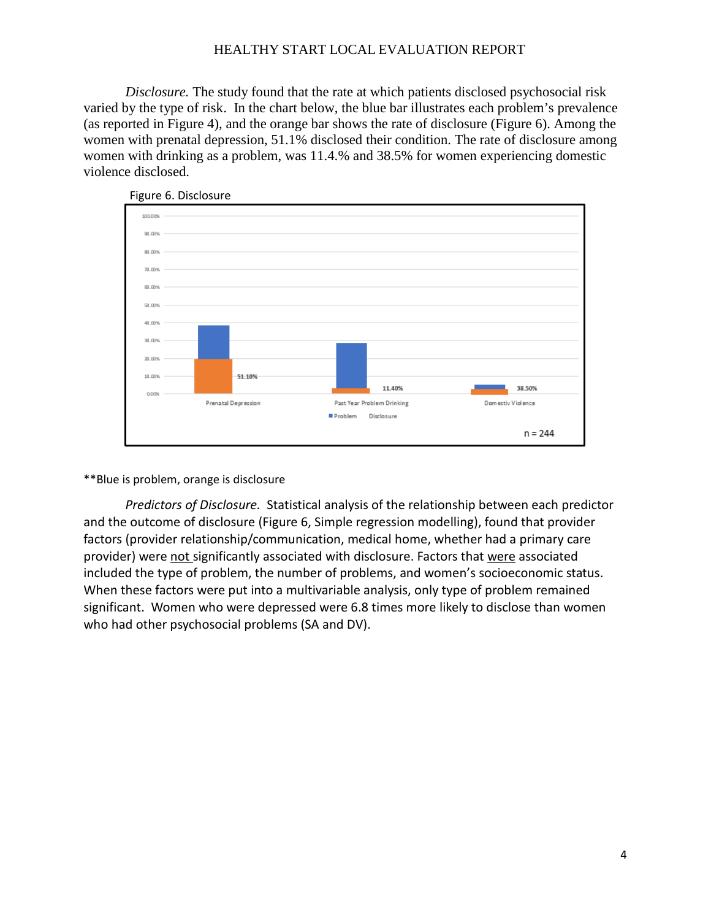*Disclosure.* The study found that the rate at which patients disclosed psychosocial risk varied by the type of risk. In the chart below, the blue bar illustrates each problem's prevalence (as reported in Figure 4), and the orange bar shows the rate of disclosure (Figure 6). Among the women with prenatal depression, 51.1% disclosed their condition. The rate of disclosure among women with drinking as a problem, was 11.4.% and 38.5% for women experiencing domestic violence disclosed.



Figure 6. Disclosure

#### \*\*Blue is problem, orange is disclosure

*Predictors of Disclosure.* Statistical analysis of the relationship between each predictor and the outcome of disclosure (Figure 6, Simple regression modelling), found that provider factors (provider relationship/communication, medical home, whether had a primary care provider) were not significantly associated with disclosure. Factors that were associated included the type of problem, the number of problems, and women's socioeconomic status. When these factors were put into a multivariable analysis, only type of problem remained significant. Women who were depressed were 6.8 times more likely to disclose than women who had other psychosocial problems (SA and DV).